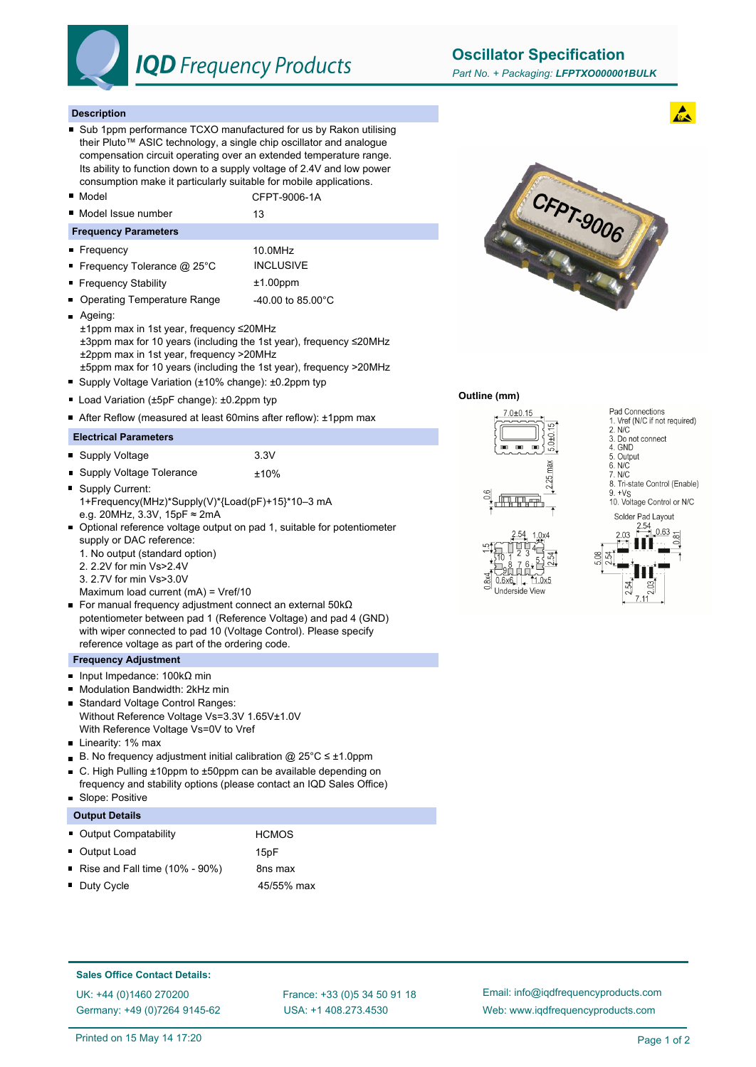

# **IQD** Frequency Products

**Oscillator Specification**

#### **Description**

- Sub 1ppm performance TCXO manufactured for us by Rakon utilising their Pluto™ ASIC technology, a single chip oscillator and analogue compensation circuit operating over an extended temperature range. Its ability to function down to a supply voltage of 2.4V and low power consumption make it particularly suitable for mobile applications.
- Model CFPT-9006-1A
- Model Issue number 13

#### **Frequency Parameters**

- Frequency 10.0MHz
- Frequency Tolerance @ 25°C INCLUSIVE
- Frequency Stability **the author of the state of the Frequency Stability the state of the state of the state of the state of the state of the state of the state of the state of the state of the state of the state of th**
- Operating Temperature Range 40.00 to 85.00°C
- **Ageing:**
- ±1ppm max in 1st year, frequency ≤20MHz ±3ppm max for 10 years (including the 1st year), frequency ≤20MHz ±2ppm max in 1st year, frequency >20MHz ±5ppm max for 10 years (including the 1st year), frequency >20MHz
- Supply Voltage Variation (±10% change): ±0.2ppm typ
- Load Variation (±5pF change): ±0.2ppm typ
- After Reflow (measured at least 60mins after reflow): ±1ppm max

# **Electrical Parameters**

- Supply Voltage 3.3V
- Supply Voltage Tolerance  $±10\%$
- Supply Current: 1+Frequency(MHz)\*Supply(V)\*{Load(pF)+15}\*10–3 mA e.g. 20MHz, 3.3V, 15pF ≈ 2mA
- Optional reference voltage output on pad 1, suitable for potentiometer supply or DAC reference:
	- 1. No output (standard option)
	- 2. 2.2V for min Vs>2.4V
	- 3. 2.7V for min Vs>3.0V
	- Maximum load current (mA) = Vref/10
- For manual frequency adjustment connect an external 50kΩ potentiometer between pad 1 (Reference Voltage) and pad 4 (GND) with wiper connected to pad 10 (Voltage Control). Please specify reference voltage as part of the ordering code.

#### **Frequency Adjustment**

- Input Impedance: 100kΩ min
- Modulation Bandwidth: 2kHz min  $\blacksquare$
- Standard Voltage Control Ranges:  $\blacksquare$ Without Reference Voltage Vs=3.3V 1.65V±1.0V With Reference Voltage Vs=0V to Vref
- **Linearity: 1% max**
- B. No frequency adjustment initial calibration @ 25°C ≤ ±1.0ppm
- C. High Pulling ±10ppm to ±50ppm can be available depending on  $\blacksquare$ frequency and stability options (please contact an IQD Sales Office)
- $\blacksquare$ Slope: Positive

| <b>Output Details</b> |  |
|-----------------------|--|
|                       |  |

- Output Compatability **HCMOS**
- Output Load 15pF
- Rise and Fall time  $(10\% 90\%)$  8ns max
- Duty Cycle **45/55%** max



#### **Outline (mm)**





# 1. Vref (N/C if not required)  $2. N/C$ 3. Do not connect 4. GND 5. Output<br>6. N/C 7. N/C 8. Tri-state Control (Enable)  $9 + Vc$ 10. Voltage Control or N/C Solder Pad Layout

Pad Connections

#### **Sales Office Contact Details:**

UK: +44 (0)1460 270200 France: +33 (0)5 34 50 91 18 Germany: +49 (0)7264 9145-62

USA: +1 408.273.4530

Email: info@iqdfrequencyproducts.com Web: www.iqdfrequencyproducts.com